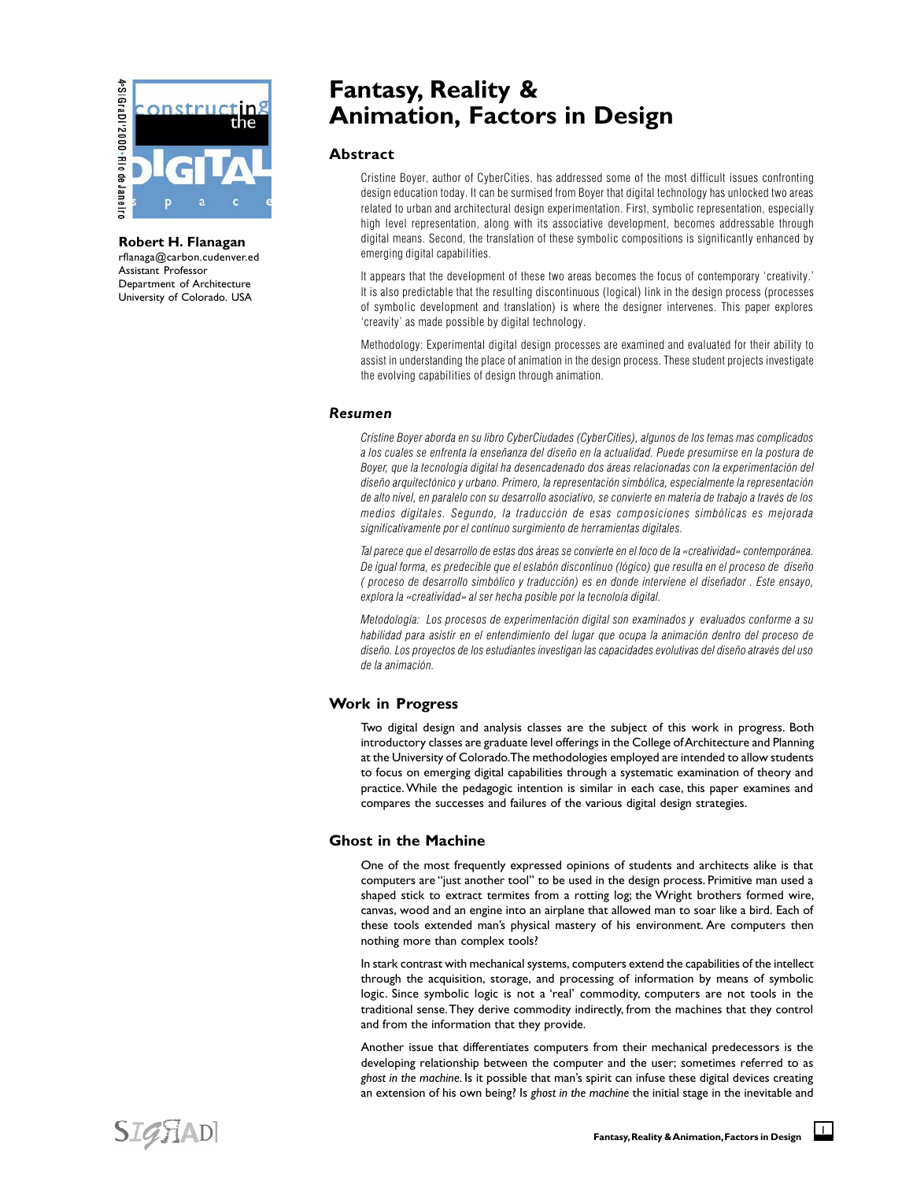

**Robert H. Flanagan** rflanaga@carbon.cudenver.ed Assistant Professor Department of Architecture University of Colorado. USA

# **Fantasy, Reality & Animation, Factors in Design**

# **Abstract**

Cristine Boyer, author of CyberCities, has addressed some of the most difficult issues confronting design education today. It can be surmised from Boyer that digital technology has unlocked two areas related to urban and architectural design experimentation. First, symbolic representation, especially high level representation, along with its associative development, becomes addressable through digital means. Second, the translation of these symbolic compositions is significantly enhanced by emerging digital capabilities.

It appears that the development of these two areas becomes the focus of contemporary 'creativity.' It is also predictable that the resulting discontinuous (logical) link in the design process (processes of symbolic development and translation) is where the designer intervenes. This paper explores 'creavity' as made possible by digital technology.

Methodology: Experimental digital design processes are examined and evaluated for their ability to assist in understanding the place of animation in the design process. These student projects investigate the evolving capabilities of design through animation.

## *Resumen*

Cristine Boyer aborda en su libro CyberCiudades (CyberCities), algunos de los temas mas complicados a los cuales se enfrenta la enseñanza del diseño en la actualidad. Puede presumirse en la postura de Boyer, que la tecnología digital ha desencadenado dos áreas relacionadas con la experimentación del diseño arquitectónico y urbano. Primero, la representación simbólica, especialmente la representación de alto nivel, en paralelo con su desarrollo asociativo, se convierte en materia de trabajo a través de los medios digitales. Segundo, la traducción de esas composiciones simbólicas es mejorada significativamente por el contínuo surgimiento de herramientas digitales.

Tal parece que el desarrollo de estas dos áreas se convierte en el foco de la «creatividad» contemporánea. De igual forma, es predecible que el eslabón discontínuo (lógico) que resulta en el proceso de diseño ( proceso de desarrollo simbólico y traducción) es en donde interviene el diseñador . Este ensayo, explora la «creatividad» al ser hecha posible por la tecnoloía digital.

Metodología: Los procesos de experimentación digital son examinados y evaluados conforme a su habilidad para asistir en el entendimiento del lugar que ocupa la animación dentro del proceso de diseño. Los proyectos de los estudiantes investigan las capacidades evolutivas del diseño através del uso de la animación.

## **Work in Progress**

Two digital design and analysis classes are the subject of this work in progress. Both introductory classes are graduate level offerings in the College of Architecture and Planning at the University of Colorado. The methodologies employed are intended to allow students to focus on emerging digital capabilities through a systematic examination of theory and practice. While the pedagogic intention is similar in each case, this paper examines and compares the successes and failures of the various digital design strategies.

# **Ghost in the Machine**

One of the most frequently expressed opinions of students and architects alike is that computers are "just another tool" to be used in the design process. Primitive man used a shaped stick to extract termites from a rotting log; the Wright brothers formed wire, canvas, wood and an engine into an airplane that allowed man to soar like a bird. Each of these tools extended man's physical mastery of his environment. Are computers then nothing more than complex tools?

In stark contrast with mechanical systems, computers extend the capabilities of the intellect through the acquisition, storage, and processing of information by means of symbolic logic. Since symbolic logic is not a 'real' commodity, computers are not tools in the traditional sense. They derive commodity indirectly, from the machines that they control and from the information that they provide.

Another issue that differentiates computers from their mechanical predecessors is the developing relationship between the computer and the user; sometimes referred to as *ghost in the machine*. Is it possible that man's spirit can infuse these digital devices creating an extension of his own being? Is *ghost in the machine* the initial stage in the inevitable and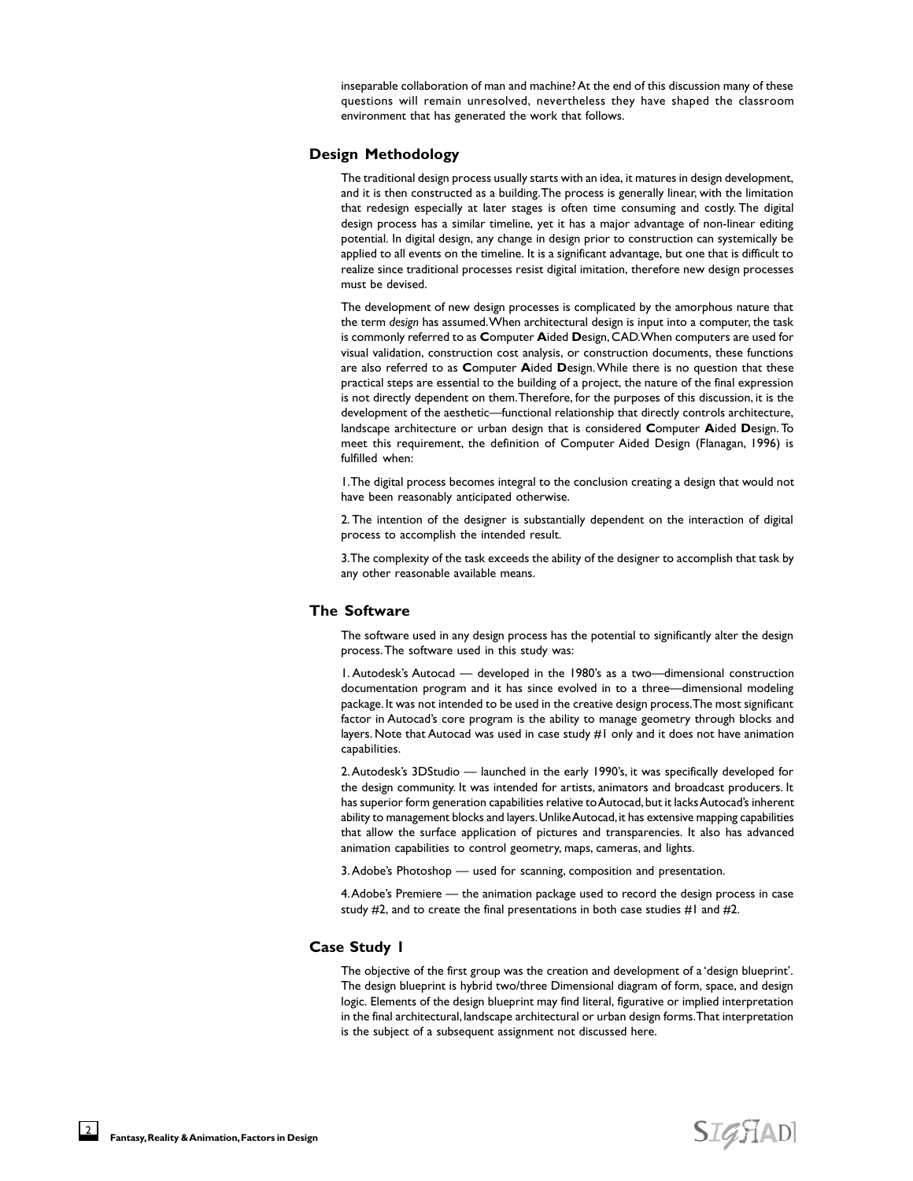inseparable collaboration of man and machine? At the end of this discussion many of these questions will remain unresolved, nevertheless they have shaped the classroom environment that has generated the work that follows.

#### **Design Methodology**

The traditional design process usually starts with an idea, it matures in design development, and it is then constructed as a building. The process is generally linear, with the limitation that redesign especially at later stages is often time consuming and costly. The digital design process has a similar timeline, yet it has a major advantage of non-linear editing potential. In digital design, any change in design prior to construction can systemically be applied to all events on the timeline. It is a significant advantage, but one that is difficult to realize since traditional processes resist digital imitation, therefore new design processes must be devised.

The development of new design processes is complicated by the amorphous nature that the term *design* has assumed. When architectural design is input into a computer, the task is commonly referred to as **C**omputer **A**ided **D**esign, CAD. When computers are used for visual validation, construction cost analysis, or construction documents, these functions are also referred to as **C**omputer **A**ided **D**esign. While there is no question that these practical steps are essential to the building of a project, the nature of the final expression is not directly dependent on them. Therefore, for the purposes of this discussion, it is the development of the aesthetic—functional relationship that directly controls architecture, landscape architecture or urban design that is considered **C**omputer **A**ided **D**esign. To meet this requirement, the definition of Computer Aided Design (Flanagan, 1996) is fulfilled when:

1. The digital process becomes integral to the conclusion creating a design that would not have been reasonably anticipated otherwise.

2. The intention of the designer is substantially dependent on the interaction of digital process to accomplish the intended result.

3. The complexity of the task exceeds the ability of the designer to accomplish that task by any other reasonable available means.

# **The Software**

The software used in any design process has the potential to significantly alter the design process. The software used in this study was:

1. Autodesk's Autocad — developed in the 1980's as a two—dimensional construction documentation program and it has since evolved in to a three—dimensional modeling package. It was not intended to be used in the creative design process. The most significant factor in Autocad's core program is the ability to manage geometry through blocks and layers. Note that Autocad was used in case study #1 only and it does not have animation capabilities.

2. Autodesk's 3DStudio — launched in the early 1990's, it was specifically developed for the design community. It was intended for artists, animators and broadcast producers. It has superior form generation capabilities relative to Autocad, but it lacks Autocad's inherent ability to management blocks and layers. Unlike Autocad, it has extensive mapping capabilities that allow the surface application of pictures and transparencies. It also has advanced animation capabilities to control geometry, maps, cameras, and lights.

3. Adobe's Photoshop — used for scanning, composition and presentation.

4. Adobe's Premiere — the animation package used to record the design process in case study  $#2$ , and to create the final presentations in both case studies  $#1$  and  $#2$ .

## **Case Study 1**

The objective of the first group was the creation and development of a 'design blueprint'. The design blueprint is hybrid two/three Dimensional diagram of form, space, and design logic. Elements of the design blueprint may find literal, figurative or implied interpretation in the final architectural, landscape architectural or urban design forms. That interpretation is the subject of a subsequent assignment not discussed here.

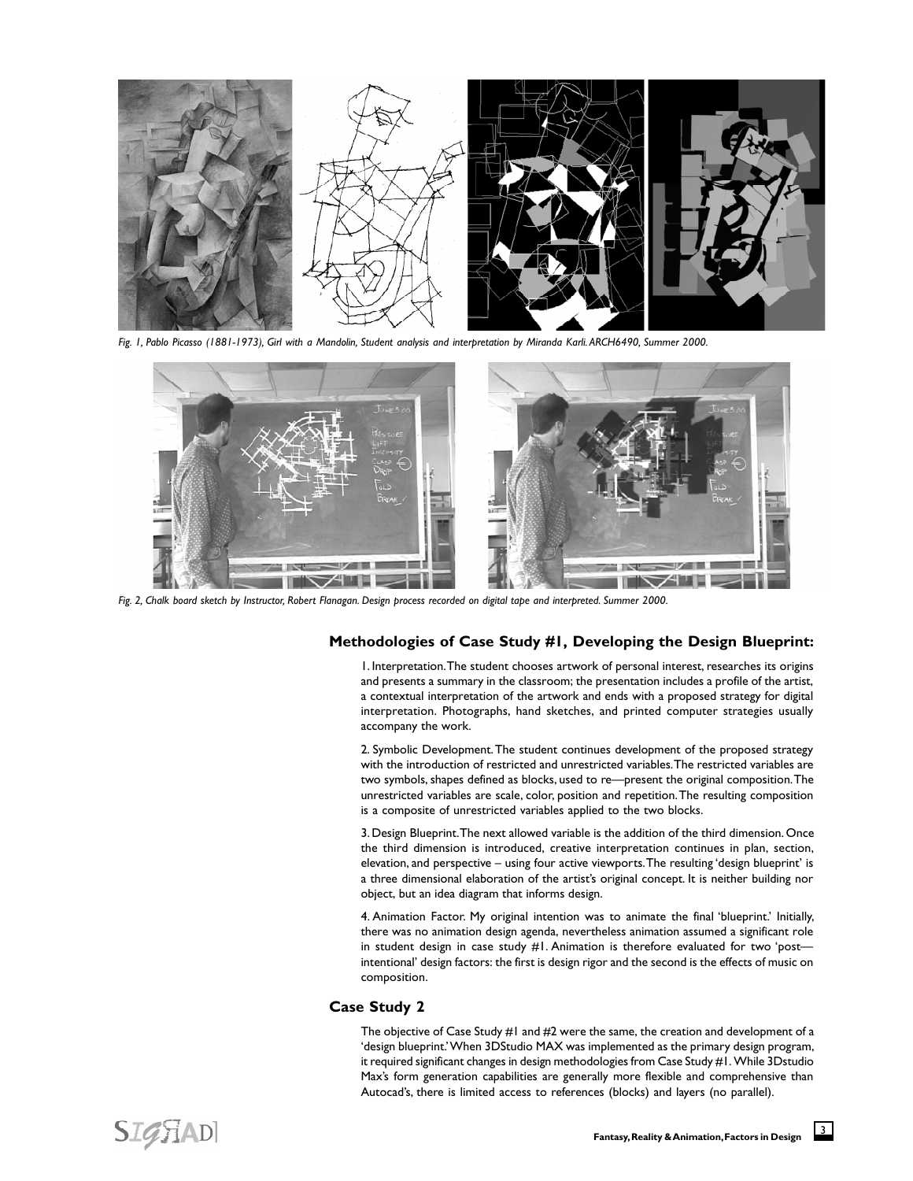

*Fig. 1, Pablo Picasso (1881-1973), Girl with a Mandolin, Student analysis and interpretation by Miranda Karli. ARCH6490, Summer 2000.*



*Fig. 2, Chalk board sketch by Instructor, Robert Flanagan. Design process recorded on digital tape and interpreted. Summer 2000.*

# **Methodologies of Case Study #1, Developing the Design Blueprint:**

1. Interpretation. The student chooses artwork of personal interest, researches its origins and presents a summary in the classroom; the presentation includes a profile of the artist, a contextual interpretation of the artwork and ends with a proposed strategy for digital interpretation. Photographs, hand sketches, and printed computer strategies usually accompany the work.

2. Symbolic Development. The student continues development of the proposed strategy with the introduction of restricted and unrestricted variables. The restricted variables are two symbols, shapes defined as blocks, used to re—present the original composition. The unrestricted variables are scale, color, position and repetition. The resulting composition is a composite of unrestricted variables applied to the two blocks.

3. Design Blueprint. The next allowed variable is the addition of the third dimension. Once the third dimension is introduced, creative interpretation continues in plan, section, elevation, and perspective – using four active viewports. The resulting 'design blueprint' is a three dimensional elaboration of the artist's original concept. It is neither building nor object, but an idea diagram that informs design.

4. Animation Factor. My original intention was to animate the final 'blueprint.' Initially, there was no animation design agenda, nevertheless animation assumed a significant role in student design in case study #1. Animation is therefore evaluated for two 'post intentional' design factors: the first is design rigor and the second is the effects of music on composition.

#### **Case Study 2**

The objective of Case Study #1 and #2 were the same, the creation and development of a 'design blueprint.' When 3DStudio MAX was implemented as the primary design program, it required significant changes in design methodologies from Case Study #1. While 3Dstudio Max's form generation capabilities are generally more flexible and comprehensive than Autocad's, there is limited access to references (blocks) and layers (no parallel).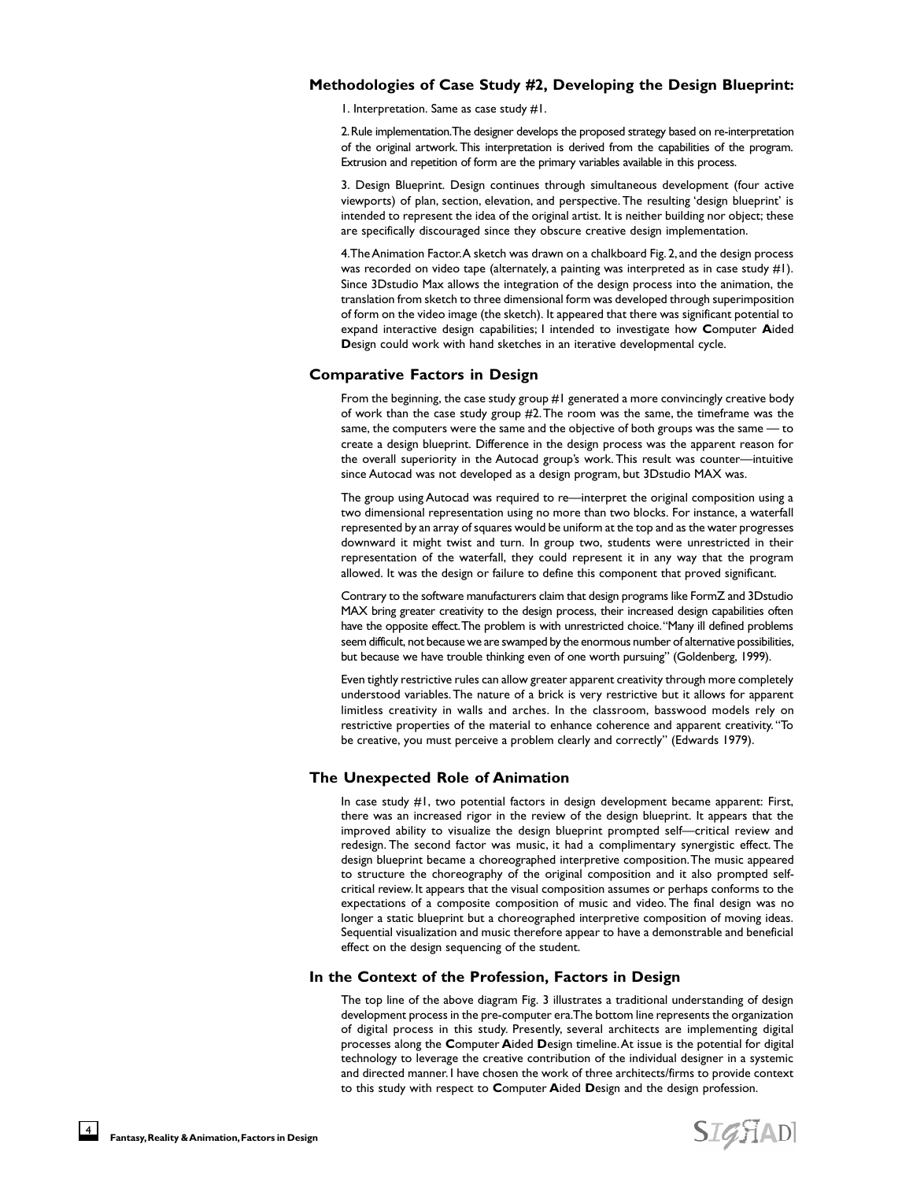## **Methodologies of Case Study #2, Developing the Design Blueprint:**

1. Interpretation. Same as case study #1.

2. Rule implementation. The designer develops the proposed strategy based on re-interpretation of the original artwork. This interpretation is derived from the capabilities of the program. Extrusion and repetition of form are the primary variables available in this process.

3. Design Blueprint. Design continues through simultaneous development (four active viewports) of plan, section, elevation, and perspective. The resulting 'design blueprint' is intended to represent the idea of the original artist. It is neither building nor object; these are specifically discouraged since they obscure creative design implementation.

4. The Animation Factor. A sketch was drawn on a chalkboard Fig. 2, and the design process was recorded on video tape (alternately, a painting was interpreted as in case study #1). Since 3Dstudio Max allows the integration of the design process into the animation, the translation from sketch to three dimensional form was developed through superimposition of form on the video image (the sketch). It appeared that there was significant potential to expand interactive design capabilities; I intended to investigate how **C**omputer **A**ided **D**esign could work with hand sketches in an iterative developmental cycle.

#### **Comparative Factors in Design**

From the beginning, the case study group #1 generated a more convincingly creative body of work than the case study group #2. The room was the same, the timeframe was the same, the computers were the same and the objective of both groups was the same — to create a design blueprint. Difference in the design process was the apparent reason for the overall superiority in the Autocad group's work. This result was counter—intuitive since Autocad was not developed as a design program, but 3Dstudio MAX was.

The group using Autocad was required to re—interpret the original composition using a two dimensional representation using no more than two blocks. For instance, a waterfall represented by an array of squares would be uniform at the top and as the water progresses downward it might twist and turn. In group two, students were unrestricted in their representation of the waterfall, they could represent it in any way that the program allowed. It was the design or failure to define this component that proved significant.

Contrary to the software manufacturers claim that design programs like FormZ and 3Dstudio MAX bring greater creativity to the design process, their increased design capabilities often have the opposite effect. The problem is with unrestricted choice. "Many ill defined problems seem difficult, not because we are swamped by the enormous number of alternative possibilities, but because we have trouble thinking even of one worth pursuing" (Goldenberg, 1999).

Even tightly restrictive rules can allow greater apparent creativity through more completely understood variables. The nature of a brick is very restrictive but it allows for apparent limitless creativity in walls and arches. In the classroom, basswood models rely on restrictive properties of the material to enhance coherence and apparent creativity. "To be creative, you must perceive a problem clearly and correctly" (Edwards 1979).

# **The Unexpected Role of Animation**

In case study #1, two potential factors in design development became apparent: First, there was an increased rigor in the review of the design blueprint. It appears that the improved ability to visualize the design blueprint prompted self—critical review and redesign. The second factor was music, it had a complimentary synergistic effect. The design blueprint became a choreographed interpretive composition. The music appeared to structure the choreography of the original composition and it also prompted selfcritical review. It appears that the visual composition assumes or perhaps conforms to the expectations of a composite composition of music and video. The final design was no longer a static blueprint but a choreographed interpretive composition of moving ideas. Sequential visualization and music therefore appear to have a demonstrable and beneficial effect on the design sequencing of the student.

# **In the Context of the Profession, Factors in Design**

The top line of the above diagram Fig. 3 illustrates a traditional understanding of design development process in the pre-computer era. The bottom line represents the organization of digital process in this study. Presently, several architects are implementing digital processes along the **C**omputer **A**ided **D**esign timeline. At issue is the potential for digital technology to leverage the creative contribution of the individual designer in a systemic and directed manner. I have chosen the work of three architects/firms to provide context to this study with respect to **C**omputer **A**ided **D**esign and the design profession.